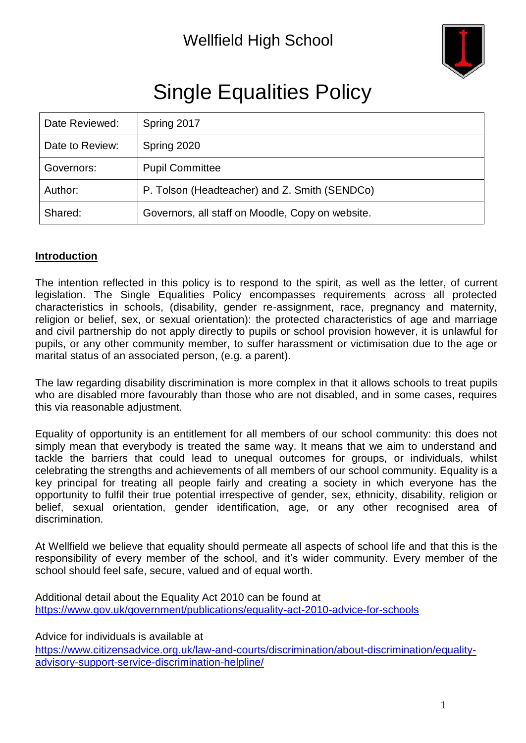

# Single Equalities Policy

| Date Reviewed:  | Spring 2017                                      |
|-----------------|--------------------------------------------------|
| Date to Review: | Spring 2020                                      |
| Governors:      | <b>Pupil Committee</b>                           |
| Author:         | P. Tolson (Headteacher) and Z. Smith (SENDCo)    |
| Shared:         | Governors, all staff on Moodle, Copy on website. |

# **Introduction**

The intention reflected in this policy is to respond to the spirit, as well as the letter, of current legislation. The Single Equalities Policy encompasses requirements across all protected characteristics in schools, (disability, gender re-assignment, race, pregnancy and maternity, religion or belief, sex, or sexual orientation): the protected characteristics of age and marriage and civil partnership do not apply directly to pupils or school provision however, it is unlawful for pupils, or any other community member, to suffer harassment or victimisation due to the age or marital status of an associated person, (e.g. a parent).

The law regarding disability discrimination is more complex in that it allows schools to treat pupils who are disabled more favourably than those who are not disabled, and in some cases, requires this via reasonable adjustment.

Equality of opportunity is an entitlement for all members of our school community: this does not simply mean that everybody is treated the same way. It means that we aim to understand and tackle the barriers that could lead to unequal outcomes for groups, or individuals, whilst celebrating the strengths and achievements of all members of our school community. Equality is a key principal for treating all people fairly and creating a society in which everyone has the opportunity to fulfil their true potential irrespective of gender, sex, ethnicity, disability, religion or belief, sexual orientation, gender identification, age, or any other recognised area of discrimination.

At Wellfield we believe that equality should permeate all aspects of school life and that this is the responsibility of every member of the school, and it's wider community. Every member of the school should feel safe, secure, valued and of equal worth.

Additional detail about the Equality Act 2010 can be found at <https://www.gov.uk/government/publications/equality-act-2010-advice-for-schools>

Advice for individuals is available at

[https://www.citizensadvice.org.uk/law-and-courts/discrimination/about-discrimination/equality](https://www.citizensadvice.org.uk/law-and-courts/discrimination/about-discrimination/equality-advisory-support-service-discrimination-helpline/)[advisory-support-service-discrimination-helpline/](https://www.citizensadvice.org.uk/law-and-courts/discrimination/about-discrimination/equality-advisory-support-service-discrimination-helpline/)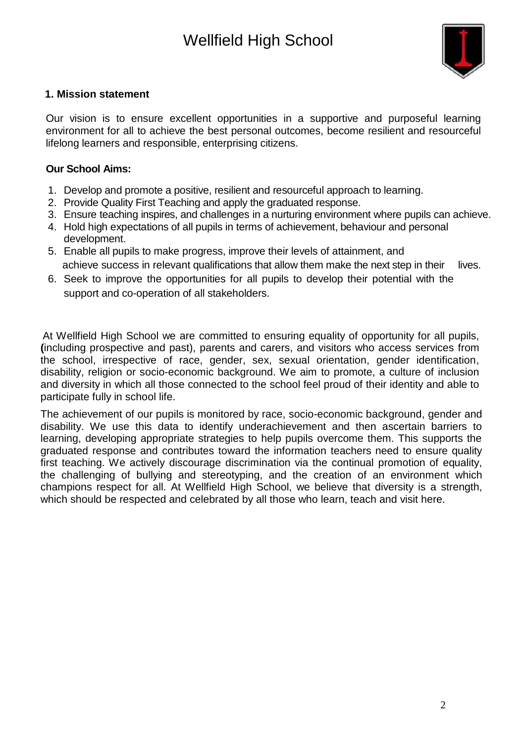

#### **1. Mission statement**

Our vision is to ensure excellent opportunities in a supportive and purposeful learning environment for all to achieve the best personal outcomes, become resilient and resourceful lifelong learners and responsible, enterprising citizens.

#### **Our School Aims:**

- 1. Develop and promote a positive, resilient and resourceful approach to learning.
- 2. Provide Quality First Teaching and apply the graduated response.
- 3. Ensure teaching inspires, and challenges in a nurturing environment where pupils can achieve.
- 4. Hold high expectations of all pupils in terms of achievement, behaviour and personal development.
- 5. Enable all pupils to make progress, improve their levels of attainment, and achieve success in relevant qualifications that allow them make the next step in their lives.
- 6. Seek to improve the opportunities for all pupils to develop their potential with the support and co-operation of all stakeholders.

At Wellfield High School we are committed to ensuring equality of opportunity for all pupils, **(**including prospective and past), parents and carers, and visitors who access services from the school, irrespective of race, gender, sex, sexual orientation, gender identification, disability, religion or socio-economic background. We aim to promote, a culture of inclusion and diversity in which all those connected to the school feel proud of their identity and able to participate fully in school life.

The achievement of our pupils is monitored by race, socio-economic background, gender and disability. We use this data to identify underachievement and then ascertain barriers to learning, developing appropriate strategies to help pupils overcome them. This supports the graduated response and contributes toward the information teachers need to ensure quality first teaching. We actively discourage discrimination via the continual promotion of equality, the challenging of bullying and stereotyping, and the creation of an environment which champions respect for all. At Wellfield High School, we believe that diversity is a strength, which should be respected and celebrated by all those who learn, teach and visit here.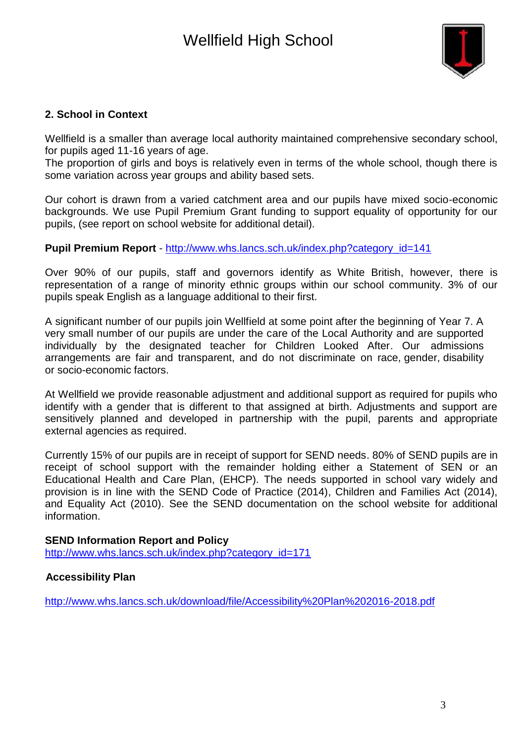

# **2. School in Context**

Wellfield is a smaller than average local authority maintained comprehensive secondary school, for pupils aged 11-16 years of age.

The proportion of girls and boys is relatively even in terms of the whole school, though there is some variation across year groups and ability based sets.

Our cohort is drawn from a varied catchment area and our pupils have mixed socio-economic backgrounds. We use Pupil Premium Grant funding to support equality of opportunity for our pupils, (see report on school website for additional detail).

**Pupil Premium Report** - [http://www.whs.lancs.sch.uk/index.php?category\\_id=141](http://www.whs.lancs.sch.uk/index.php?category_id=141)

Over 90% of our pupils, staff and governors identify as White British, however, there is representation of a range of minority ethnic groups within our school community. 3% of our pupils speak English as a language additional to their first.

A significant number of our pupils join Wellfield at some point after the beginning of Year 7. A very small number of our pupils are under the care of the Local Authority and are supported individually by the designated teacher for Children Looked After. Our admissions arrangements are fair and transparent, and do not discriminate on race, gender, disability or socio-economic factors.

At Wellfield we provide reasonable adjustment and additional support as required for pupils who identify with a gender that is different to that assigned at birth. Adjustments and support are sensitively planned and developed in partnership with the pupil, parents and appropriate external agencies as required.

Currently 15% of our pupils are in receipt of support for SEND needs. 80% of SEND pupils are in receipt of school support with the remainder holding either a Statement of SEN or an Educational Health and Care Plan, (EHCP). The needs supported in school vary widely and provision is in line with the SEND Code of Practice (2014), Children and Families Act (2014), and Equality Act (2010). See the SEND documentation on the school website for additional information.

#### **SEND Information Report and Policy**

[http://www.whs.lancs.sch.uk/index.php?category\\_id=171](http://www.whs.lancs.sch.uk/index.php?category_id=171)

# **Accessibility Plan**

<http://www.whs.lancs.sch.uk/download/file/Accessibility%20Plan%202016-2018.pdf>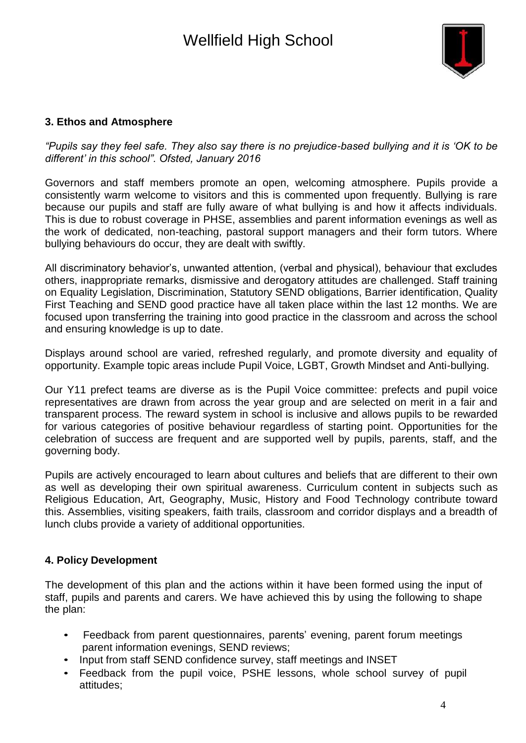

#### **3. Ethos and Atmosphere**

*"Pupils say they feel safe. They also say there is no prejudice-based bullying and it is 'OK to be different' in this school". Ofsted, January 2016*

Governors and staff members promote an open, welcoming atmosphere. Pupils provide a consistently warm welcome to visitors and this is commented upon frequently. Bullying is rare because our pupils and staff are fully aware of what bullying is and how it affects individuals. This is due to robust coverage in PHSE, assemblies and parent information evenings as well as the work of dedicated, non-teaching, pastoral support managers and their form tutors. Where bullying behaviours do occur, they are dealt with swiftly.

All discriminatory behavior's, unwanted attention, (verbal and physical), behaviour that excludes others, inappropriate remarks, dismissive and derogatory attitudes are challenged. Staff training on Equality Legislation, Discrimination, Statutory SEND obligations, Barrier identification, Quality First Teaching and SEND good practice have all taken place within the last 12 months. We are focused upon transferring the training into good practice in the classroom and across the school and ensuring knowledge is up to date.

Displays around school are varied, refreshed regularly, and promote diversity and equality of opportunity. Example topic areas include Pupil Voice, LGBT, Growth Mindset and Anti-bullying.

Our Y11 prefect teams are diverse as is the Pupil Voice committee: prefects and pupil voice representatives are drawn from across the year group and are selected on merit in a fair and transparent process. The reward system in school is inclusive and allows pupils to be rewarded for various categories of positive behaviour regardless of starting point. Opportunities for the celebration of success are frequent and are supported well by pupils, parents, staff, and the governing body.

Pupils are actively encouraged to learn about cultures and beliefs that are different to their own as well as developing their own spiritual awareness. Curriculum content in subjects such as Religious Education, Art, Geography, Music, History and Food Technology contribute toward this. Assemblies, visiting speakers, faith trails, classroom and corridor displays and a breadth of lunch clubs provide a variety of additional opportunities.

#### **4. Policy Development**

The development of this plan and the actions within it have been formed using the input of staff, pupils and parents and carers. We have achieved this by using the following to shape the plan:

- Feedback from parent questionnaires, parents' evening, parent forum meetings parent information evenings, SEND reviews;
- Input from staff SEND confidence survey, staff meetings and INSET
- Feedback from the pupil voice, PSHE lessons, whole school survey of pupil attitudes;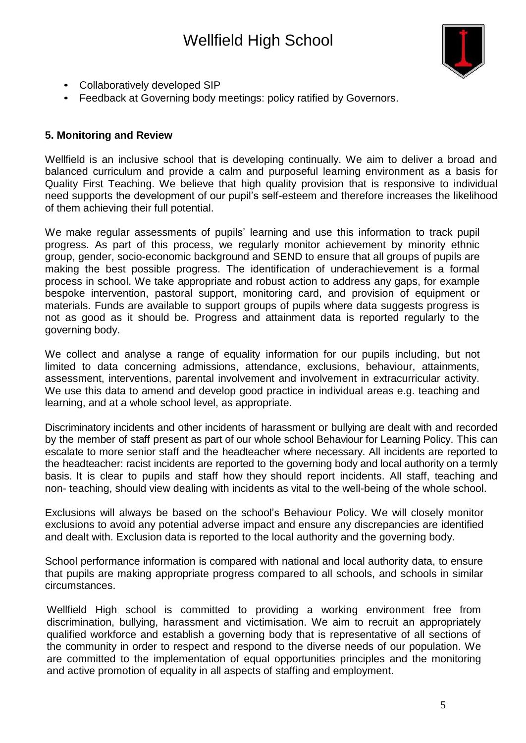

- Collaboratively developed SIP
- Feedback at Governing body meetings: policy ratified by Governors.

# **5. Monitoring and Review**

Wellfield is an inclusive school that is developing continually. We aim to deliver a broad and balanced curriculum and provide a calm and purposeful learning environment as a basis for Quality First Teaching. We believe that high quality provision that is responsive to individual need supports the development of our pupil's self-esteem and therefore increases the likelihood of them achieving their full potential.

We make regular assessments of pupils' learning and use this information to track pupil progress. As part of this process, we regularly monitor achievement by minority ethnic group, gender, socio-economic background and SEND to ensure that all groups of pupils are making the best possible progress. The identification of underachievement is a formal process in school. We take appropriate and robust action to address any gaps, for example bespoke intervention, pastoral support, monitoring card, and provision of equipment or materials. Funds are available to support groups of pupils where data suggests progress is not as good as it should be. Progress and attainment data is reported regularly to the governing body.

We collect and analyse a range of equality information for our pupils including, but not limited to data concerning admissions, attendance, exclusions, behaviour, attainments, assessment, interventions, parental involvement and involvement in extracurricular activity. We use this data to amend and develop good practice in individual areas e.g. teaching and learning, and at a whole school level, as appropriate.

Discriminatory incidents and other incidents of harassment or bullying are dealt with and recorded by the member of staff present as part of our whole school Behaviour for Learning Policy. This can escalate to more senior staff and the headteacher where necessary. All incidents are reported to the headteacher: racist incidents are reported to the governing body and local authority on a termly basis. It is clear to pupils and staff how they should report incidents. All staff, teaching and non- teaching, should view dealing with incidents as vital to the well-being of the whole school.

Exclusions will always be based on the school's Behaviour Policy. We will closely monitor exclusions to avoid any potential adverse impact and ensure any discrepancies are identified and dealt with. Exclusion data is reported to the local authority and the governing body.

School performance information is compared with national and local authority data, to ensure that pupils are making appropriate progress compared to all schools, and schools in similar circumstances.

Wellfield High school is committed to providing a working environment free from discrimination, bullying, harassment and victimisation. We aim to recruit an appropriately qualified workforce and establish a governing body that is representative of all sections of the community in order to respect and respond to the diverse needs of our population. We are committed to the implementation of equal opportunities principles and the monitoring and active promotion of equality in all aspects of staffing and employment.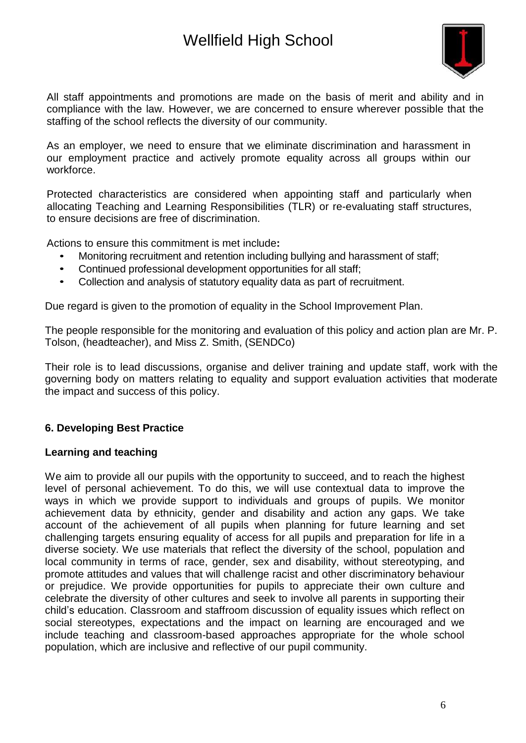

All staff appointments and promotions are made on the basis of merit and ability and in compliance with the law. However, we are concerned to ensure wherever possible that the staffing of the school reflects the diversity of our community.

As an employer, we need to ensure that we eliminate discrimination and harassment in our employment practice and actively promote equality across all groups within our workforce.

Protected characteristics are considered when appointing staff and particularly when allocating Teaching and Learning Responsibilities (TLR) or re-evaluating staff structures, to ensure decisions are free of discrimination.

Actions to ensure this commitment is met include**:**

- Monitoring recruitment and retention including bullying and harassment of staff;
- Continued professional development opportunities for all staff;
- Collection and analysis of statutory equality data as part of recruitment.

Due regard is given to the promotion of equality in the School Improvement Plan.

The people responsible for the monitoring and evaluation of this policy and action plan are Mr. P. Tolson, (headteacher), and Miss Z. Smith, (SENDCo)

Their role is to lead discussions, organise and deliver training and update staff, work with the governing body on matters relating to equality and support evaluation activities that moderate the impact and success of this policy.

# **6. Developing Best Practice**

#### **Learning and teaching**

We aim to provide all our pupils with the opportunity to succeed, and to reach the highest level of personal achievement. To do this, we will use contextual data to improve the ways in which we provide support to individuals and groups of pupils. We monitor achievement data by ethnicity, gender and disability and action any gaps. We take account of the achievement of all pupils when planning for future learning and set challenging targets ensuring equality of access for all pupils and preparation for life in a diverse society. We use materials that reflect the diversity of the school, population and local community in terms of race, gender, sex and disability, without stereotyping, and promote attitudes and values that will challenge racist and other discriminatory behaviour or prejudice. We provide opportunities for pupils to appreciate their own culture and celebrate the diversity of other cultures and seek to involve all parents in supporting their child's education. Classroom and staffroom discussion of equality issues which reflect on social stereotypes, expectations and the impact on learning are encouraged and we include teaching and classroom-based approaches appropriate for the whole school population, which are inclusive and reflective of our pupil community.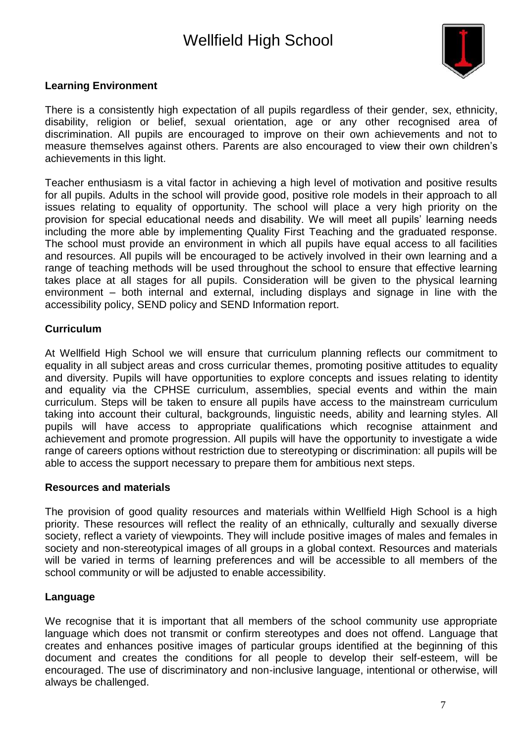

#### **Learning Environment**

There is a consistently high expectation of all pupils regardless of their gender, sex, ethnicity, disability, religion or belief, sexual orientation, age or any other recognised area of discrimination. All pupils are encouraged to improve on their own achievements and not to measure themselves against others. Parents are also encouraged to view their own children's achievements in this light.

Teacher enthusiasm is a vital factor in achieving a high level of motivation and positive results for all pupils. Adults in the school will provide good, positive role models in their approach to all issues relating to equality of opportunity. The school will place a very high priority on the provision for special educational needs and disability. We will meet all pupils' learning needs including the more able by implementing Quality First Teaching and the graduated response. The school must provide an environment in which all pupils have equal access to all facilities and resources. All pupils will be encouraged to be actively involved in their own learning and a range of teaching methods will be used throughout the school to ensure that effective learning takes place at all stages for all pupils. Consideration will be given to the physical learning environment – both internal and external, including displays and signage in line with the accessibility policy, SEND policy and SEND Information report.

# **Curriculum**

At Wellfield High School we will ensure that curriculum planning reflects our commitment to equality in all subject areas and cross curricular themes, promoting positive attitudes to equality and diversity. Pupils will have opportunities to explore concepts and issues relating to identity and equality via the CPHSE curriculum, assemblies, special events and within the main curriculum. Steps will be taken to ensure all pupils have access to the mainstream curriculum taking into account their cultural, backgrounds, linguistic needs, ability and learning styles. All pupils will have access to appropriate qualifications which recognise attainment and achievement and promote progression. All pupils will have the opportunity to investigate a wide range of careers options without restriction due to stereotyping or discrimination: all pupils will be able to access the support necessary to prepare them for ambitious next steps.

#### **Resources and materials**

The provision of good quality resources and materials within Wellfield High School is a high priority. These resources will reflect the reality of an ethnically, culturally and sexually diverse society, reflect a variety of viewpoints. They will include positive images of males and females in society and non-stereotypical images of all groups in a global context. Resources and materials will be varied in terms of learning preferences and will be accessible to all members of the school community or will be adjusted to enable accessibility.

#### **Language**

We recognise that it is important that all members of the school community use appropriate language which does not transmit or confirm stereotypes and does not offend. Language that creates and enhances positive images of particular groups identified at the beginning of this document and creates the conditions for all people to develop their self-esteem, will be encouraged. The use of discriminatory and non-inclusive language, intentional or otherwise, will always be challenged.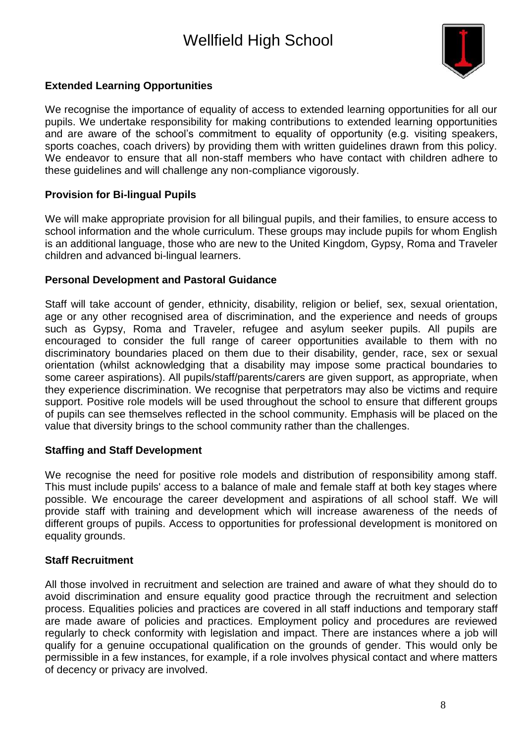

# **Extended Learning Opportunities**

We recognise the importance of equality of access to extended learning opportunities for all our pupils. We undertake responsibility for making contributions to extended learning opportunities and are aware of the school's commitment to equality of opportunity (e.g. visiting speakers, sports coaches, coach drivers) by providing them with written guidelines drawn from this policy. We endeavor to ensure that all non-staff members who have contact with children adhere to these guidelines and will challenge any non-compliance vigorously.

# **Provision for Bi-lingual Pupils**

We will make appropriate provision for all bilingual pupils, and their families, to ensure access to school information and the whole curriculum. These groups may include pupils for whom English is an additional language, those who are new to the United Kingdom, Gypsy, Roma and Traveler children and advanced bi-lingual learners.

#### **Personal Development and Pastoral Guidance**

Staff will take account of gender, ethnicity, disability, religion or belief, sex, sexual orientation, age or any other recognised area of discrimination, and the experience and needs of groups such as Gypsy, Roma and Traveler, refugee and asylum seeker pupils. All pupils are encouraged to consider the full range of career opportunities available to them with no discriminatory boundaries placed on them due to their disability, gender, race, sex or sexual orientation (whilst acknowledging that a disability may impose some practical boundaries to some career aspirations). All pupils/staff/parents/carers are given support, as appropriate, when they experience discrimination. We recognise that perpetrators may also be victims and require support. Positive role models will be used throughout the school to ensure that different groups of pupils can see themselves reflected in the school community. Emphasis will be placed on the value that diversity brings to the school community rather than the challenges.

# **Staffing and Staff Development**

We recognise the need for positive role models and distribution of responsibility among staff. This must include pupils' access to a balance of male and female staff at both key stages where possible. We encourage the career development and aspirations of all school staff. We will provide staff with training and development which will increase awareness of the needs of different groups of pupils. Access to opportunities for professional development is monitored on equality grounds.

# **Staff Recruitment**

All those involved in recruitment and selection are trained and aware of what they should do to avoid discrimination and ensure equality good practice through the recruitment and selection process. Equalities policies and practices are covered in all staff inductions and temporary staff are made aware of policies and practices. Employment policy and procedures are reviewed regularly to check conformity with legislation and impact. There are instances where a job will qualify for a genuine occupational qualification on the grounds of gender. This would only be permissible in a few instances, for example, if a role involves physical contact and where matters of decency or privacy are involved.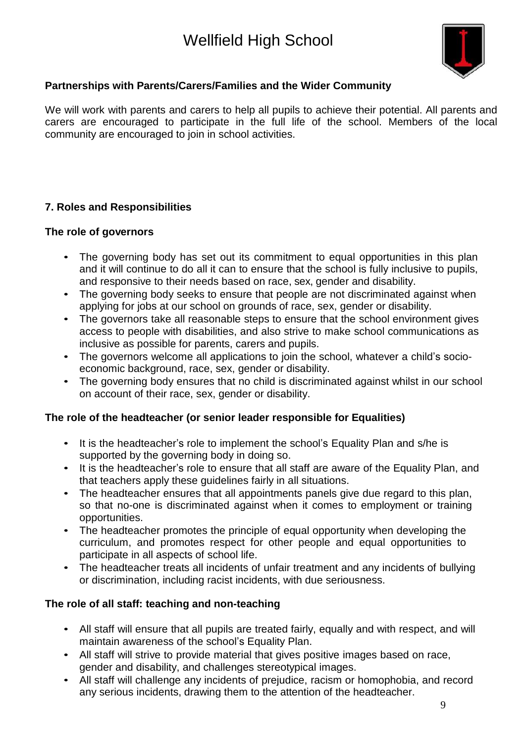

# **Partnerships with Parents/Carers/Families and the Wider Community**

We will work with parents and carers to help all pupils to achieve their potential. All parents and carers are encouraged to participate in the full life of the school. Members of the local community are encouraged to join in school activities.

# **7. Roles and Responsibilities**

#### **The role of governors**

- The governing body has set out its commitment to equal opportunities in this plan and it will continue to do all it can to ensure that the school is fully inclusive to pupils, and responsive to their needs based on race, sex, gender and disability.
- The governing body seeks to ensure that people are not discriminated against when applying for jobs at our school on grounds of race, sex, gender or disability.
- The governors take all reasonable steps to ensure that the school environment gives access to people with disabilities, and also strive to make school communications as inclusive as possible for parents, carers and pupils.
- The governors welcome all applications to join the school, whatever a child's socioeconomic background, race, sex, gender or disability.
- The governing body ensures that no child is discriminated against whilst in our school on account of their race, sex, gender or disability.

# **The role of the headteacher (or senior leader responsible for Equalities)**

- It is the headteacher's role to implement the school's Equality Plan and s/he is supported by the governing body in doing so.
- It is the headteacher's role to ensure that all staff are aware of the Equality Plan, and that teachers apply these guidelines fairly in all situations.
- The headteacher ensures that all appointments panels give due regard to this plan, so that no-one is discriminated against when it comes to employment or training opportunities.
- The headteacher promotes the principle of equal opportunity when developing the curriculum, and promotes respect for other people and equal opportunities to participate in all aspects of school life.
- The headteacher treats all incidents of unfair treatment and any incidents of bullying or discrimination, including racist incidents, with due seriousness.

# **The role of all staff: teaching and non-teaching**

- All staff will ensure that all pupils are treated fairly, equally and with respect, and will maintain awareness of the school's Equality Plan.
- All staff will strive to provide material that gives positive images based on race, gender and disability, and challenges stereotypical images.
- All staff will challenge any incidents of prejudice, racism or homophobia, and record any serious incidents, drawing them to the attention of the headteacher.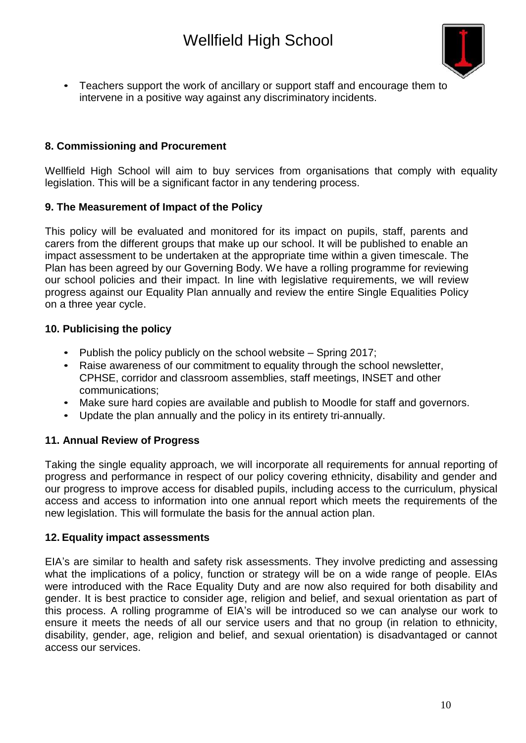

• Teachers support the work of ancillary or support staff and encourage them to intervene in a positive way against any discriminatory incidents.

# **8. Commissioning and Procurement**

Wellfield High School will aim to buy services from organisations that comply with equality legislation. This will be a significant factor in any tendering process.

# **9. The Measurement of Impact of the Policy**

This policy will be evaluated and monitored for its impact on pupils, staff, parents and carers from the different groups that make up our school. It will be published to enable an impact assessment to be undertaken at the appropriate time within a given timescale. The Plan has been agreed by our Governing Body. We have a rolling programme for reviewing our school policies and their impact. In line with legislative requirements, we will review progress against our Equality Plan annually and review the entire Single Equalities Policy on a three year cycle.

# **10. Publicising the policy**

- Publish the policy publicly on the school website Spring 2017;
- Raise awareness of our commitment to equality through the school newsletter, CPHSE, corridor and classroom assemblies, staff meetings, INSET and other communications;
- Make sure hard copies are available and publish to Moodle for staff and governors.
- Update the plan annually and the policy in its entirety tri-annually.

# **11. Annual Review of Progress**

Taking the single equality approach, we will incorporate all requirements for annual reporting of progress and performance in respect of our policy covering ethnicity, disability and gender and our progress to improve access for disabled pupils, including access to the curriculum, physical access and access to information into one annual report which meets the requirements of the new legislation. This will formulate the basis for the annual action plan.

# **12. Equality impact assessments**

EIA's are similar to health and safety risk assessments. They involve predicting and assessing what the implications of a policy, function or strategy will be on a wide range of people. EIAs were introduced with the Race Equality Duty and are now also required for both disability and gender. It is best practice to consider age, religion and belief, and sexual orientation as part of this process. A rolling programme of EIA's will be introduced so we can analyse our work to ensure it meets the needs of all our service users and that no group (in relation to ethnicity, disability, gender, age, religion and belief, and sexual orientation) is disadvantaged or cannot access our services.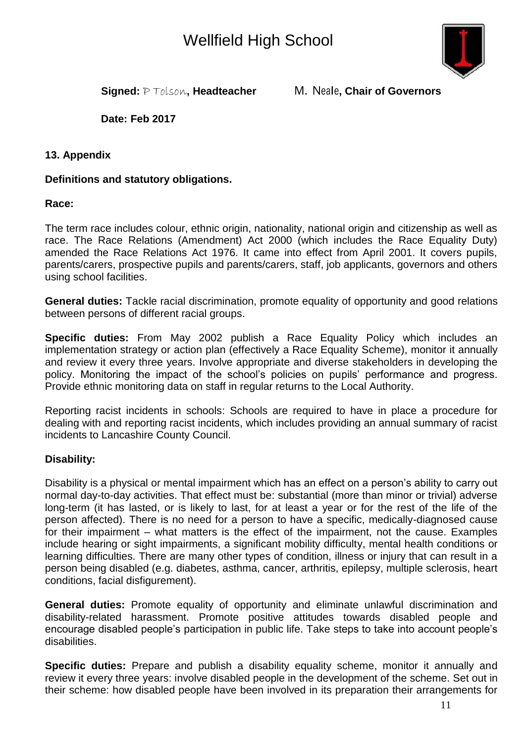

**Signed:** <sup>P</sup> Tolson**, Headteacher** M. Neale**, Chair of Governors**

 **Date: Feb 2017**

# **13. Appendix**

#### **Definitions and statutory obligations.**

#### **Race:**

The term race includes colour, ethnic origin, nationality, national origin and citizenship as well as race. The Race Relations (Amendment) Act 2000 (which includes the Race Equality Duty) amended the Race Relations Act 1976. It came into effect from April 2001. It covers pupils, parents/carers, prospective pupils and parents/carers, staff, job applicants, governors and others using school facilities.

**General duties:** Tackle racial discrimination, promote equality of opportunity and good relations between persons of different racial groups.

**Specific duties:** From May 2002 publish a Race Equality Policy which includes an implementation strategy or action plan (effectively a Race Equality Scheme), monitor it annually and review it every three years. Involve appropriate and diverse stakeholders in developing the policy. Monitoring the impact of the school's policies on pupils' performance and progress. Provide ethnic monitoring data on staff in regular returns to the Local Authority.

Reporting racist incidents in schools: Schools are required to have in place a procedure for dealing with and reporting racist incidents, which includes providing an annual summary of racist incidents to Lancashire County Council.

# **Disability:**

Disability is a physical or mental impairment which has an effect on a person's ability to carry out normal day-to-day activities. That effect must be: substantial (more than minor or trivial) adverse long-term (it has lasted, or is likely to last, for at least a year or for the rest of the life of the person affected). There is no need for a person to have a specific, medically-diagnosed cause for their impairment – what matters is the effect of the impairment, not the cause. Examples include hearing or sight impairments, a significant mobility difficulty, mental health conditions or learning difficulties. There are many other types of condition, illness or injury that can result in a person being disabled (e.g. diabetes, asthma, cancer, arthritis, epilepsy, multiple sclerosis, heart conditions, facial disfigurement).

**General duties:** Promote equality of opportunity and eliminate unlawful discrimination and disability-related harassment. Promote positive attitudes towards disabled people and encourage disabled people's participation in public life. Take steps to take into account people's disabilities.

**Specific duties:** Prepare and publish a disability equality scheme, monitor it annually and review it every three years: involve disabled people in the development of the scheme. Set out in their scheme: how disabled people have been involved in its preparation their arrangements for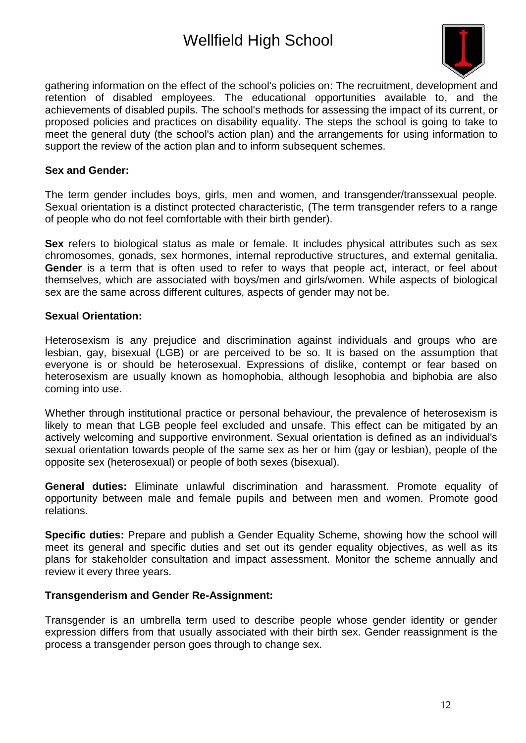

gathering information on the effect of the school's policies on: The recruitment, development and retention of disabled employees. The educational opportunities available to, and the achievements of disabled pupils. The school's methods for assessing the impact of its current, or proposed policies and practices on disability equality. The steps the school is going to take to meet the general duty (the school's action plan) and the arrangements for using information to support the review of the action plan and to inform subsequent schemes.

#### **Sex and Gender:**

The term gender includes boys, girls, men and women, and transgender/transsexual people. Sexual orientation is a distinct protected characteristic, (The term transgender refers to a range of people who do not feel comfortable with their birth gender).

**Sex** refers to biological status as male or female. It includes physical attributes such as sex chromosomes, gonads, sex hormones, internal reproductive structures, and external genitalia. **Gender** is a term that is often used to refer to ways that people act, interact, or feel about themselves, which are associated with boys/men and girls/women. While aspects of biological sex are the same across different cultures, aspects of gender may not be.

#### **Sexual Orientation:**

Heterosexism is any prejudice and discrimination against individuals and groups who are lesbian, gay, bisexual (LGB) or are perceived to be so. It is based on the assumption that everyone is or should be heterosexual. Expressions of dislike, contempt or fear based on heterosexism are usually known as homophobia, although lesophobia and biphobia are also coming into use.

Whether through institutional practice or personal behaviour, the prevalence of heterosexism is likely to mean that LGB people feel excluded and unsafe. This effect can be mitigated by an actively welcoming and supportive environment. Sexual orientation is defined as an individual's sexual orientation towards people of the same sex as her or him (gay or lesbian), people of the opposite sex (heterosexual) or people of both sexes (bisexual).

**General duties:** Eliminate unlawful discrimination and harassment. Promote equality of opportunity between male and female pupils and between men and women. Promote good relations.

**Specific duties:** Prepare and publish a Gender Equality Scheme, showing how the school will meet its general and specific duties and set out its gender equality objectives, as well as its plans for stakeholder consultation and impact assessment. Monitor the scheme annually and review it every three years.

# **Transgenderism and Gender Re-Assignment:**

Transgender is an umbrella term used to describe people whose gender identity or gender expression differs from that usually associated with their birth sex. Gender reassignment is the process a transgender person goes through to change sex.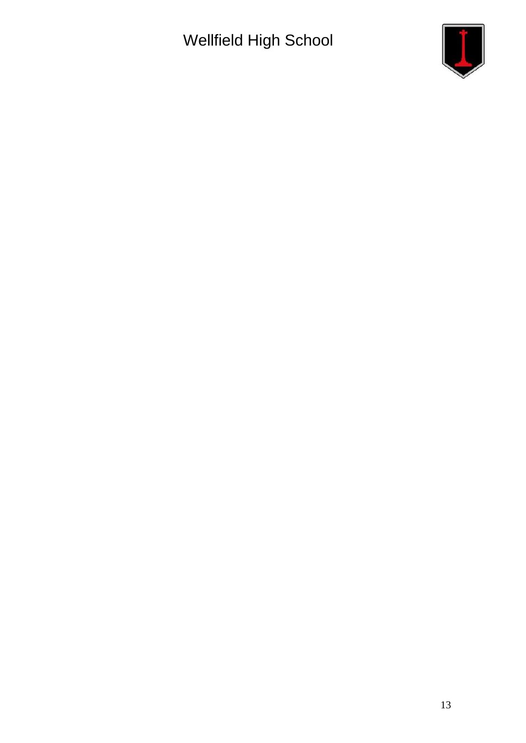